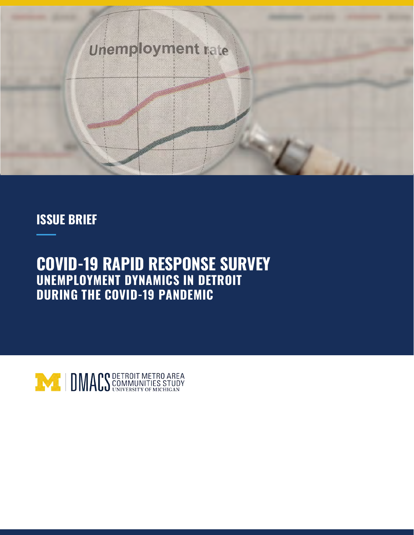

# **ISSUE BRIEF**

# **COVID-19 RAPID RESPONSE SURVEY UNEMPLOYMENT DYNAMICS IN DETROIT DURING THE COVID-19 PANDEMIC**

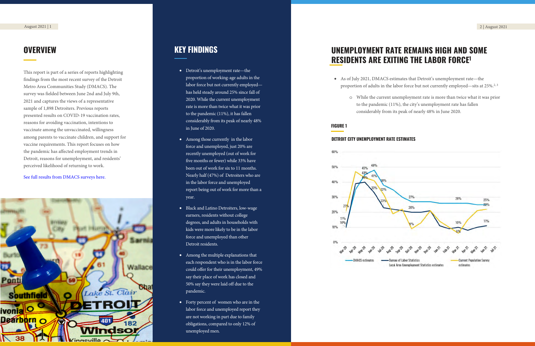o While the current unemployment rate is more than twice what it was prior to the pandemic (11%), the city's unemployment rate has fallen considerably from its peak of nearly 48% in June 2020.

- Detroit's unemployment rate—the proportion of working-age adults in the labor force but not currently employed has held steady around 25% since fall of 2020. While the current unemployment rate is more than twice what it was prior to the pandemic (11%), it has fallen considerably from its peak of nearly 48% in June of 2020.
- Among those currently in the labor force and unemployed, just 20% are recently unemployed (out of work for five months or fewer) while 33% have been out of work for six to 11 months. Nearly half (47%) of Detroiters who are in the labor force and unemployed report being out of work for more than a year.
- Black and Latino Detroiters, low-wage earners, residents without college degrees, and adults in households with kids were more likely to be in the labor force and unemployed than other Detroit residents.
- Among the multiple explanations that each respondent who is in the labor force could offer for their unemployment, 49% say their place of work has closed and 50% say they were laid off due to the pandemic.
- Forty percent of women who are in the labor force and unemployed report they are not working in part due to family obligations, compared to only 12% of unemployed men.

# **KEY FINDINGS**

This report is part of a series of reports highlighting findings from the most recent survey of the Detroit Metro Area Communities Study (DMACS). The survey was fielded between June 2nd and July 9th, 2021 and captures the views of a representative sample of 1,898 Detroiters. Previous reports presented results on COVID-19 vaccination rates, reasons for avoiding vaccination, intentions to vaccinate among the unvaccinated, willingness among parents to vaccinate children, and support for vaccine requirements. This report focuses on how the pandemic has affected employment trends in Detroit, reasons for unemployment, and residents' perceived likelihood of returning to work.

## [See full results from DMACS surveys he](https://detroitsurvey.umich.edu/findings/covid-19/)re.



# **OVERVIEW**

## **FIGURE 1**

## **DETROIT CITY UNEMPLOYMENT RATE ESTIMATES**



• As of July 2021, DMACS estimates that Detroit's unemployment rate—the proportion of adults in the labor force but not currently emp[loyed—sits at 25%.](https://www.cnn.com/2021/07/26/health/children-covid-vaccine-pediatrician-wellness/index.html)<sup>2, 3</sup>

# **UNEMPLOYMENT RATE REMAINS HIGH AND SOME RESIDENTS ARE EXITING THE LABOR FORCE 1**

- -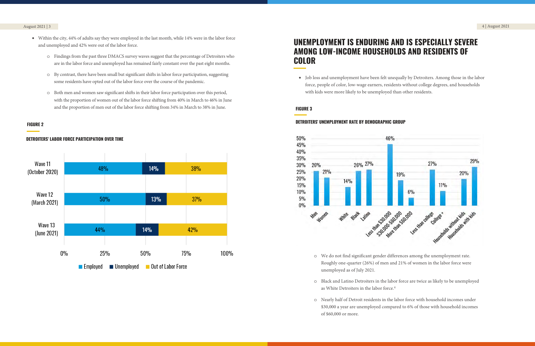# **UNEMPLOYMENT IS ENDURING AND IS ESPECIALLY SEVERE AMONG LOW-INCOME HOUSEHOLDS AND RESIDENTS OF COLOR**

- Within the city, 44% of adults say they were employed in the last month, while 14% were in the labor force and unemployed and 42% were out of the labor force.
	- o Findings from the past three DMACS survey waves suggest that the percentage of Detroiters who are in the labor force and unemployed has remained fairly constant over the past eight months.
	- o By contrast, there have been small but significant shifts in labor force participation, suggesting some residents have opted out of the labor force over the course of the pandemic.
	- o Both men and women saw significant shifts in their labor force participation over this period, with the proportion of women out of the labor force shifting from 40% in March to 46% in June and the proportion of men out of the labor force shifting from 34% in March to 38% in June.

## **FIGURE 2**





### August 2021 | 3 4 | August 2021

• Job loss and unemployment have been felt unequally by Detroiters. Among those in the labor force, people of color, low-wage earners, residents without college degrees, and households with kids were more likely to be unemployed than other residents.

## **FIGURE 3**

### **DETROITERS' UNEMPLOYMENT RATE BY DEMOGRAPHIC GROUP**



Roughly one-quarter (26%) of men and 21% of women in the labor force were

o Black and Latino Detroiters in the labor force are twice as likely to be unemployed

- o We do not find significant gender differences among the unemployment rate. unemployed as of July 2021.
- as White Detroiters in the labor force.<sup>4</sup>
- o Nearly half of Detroit residents in the labor force with household incomes under of \$60,000 or more.

\$30,000 a year are unemployed compared to 6% of those with household incomes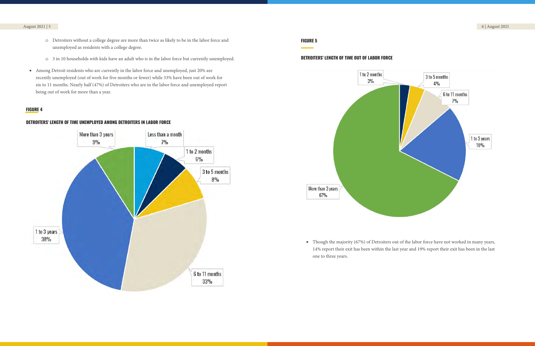### **FIGURE 5**





### August 2021 | 5 6 | August 2021

## **FIGURE 4**



# **DETROITERS' LENGTH OF TIME UNEMPLOYED AMONG DETROITERS IN LABOR FORCE**

- o Detroiters without a college degree are more than twice as likely to be in the labor force and unemployed as residents with a college degree.
- o 3 in 10 households with kids have an adult who is in the labor force but currently unemployed.
- Among Detroit residents who are currently in the labor force and unemployed, just 20% are recently unemployed (out of work for five months or fewer) while 33% have been out of work for six to 11 months. Nearly half (47%) of Detroiters who are in the labor force and unemployed report being out of work for more than a year.

• Though the majority (67%) of Detroiters out of the labor force have not worked in many years, 14% report their exit has been within the last year and 19% report their exit has been in the last

one to three years.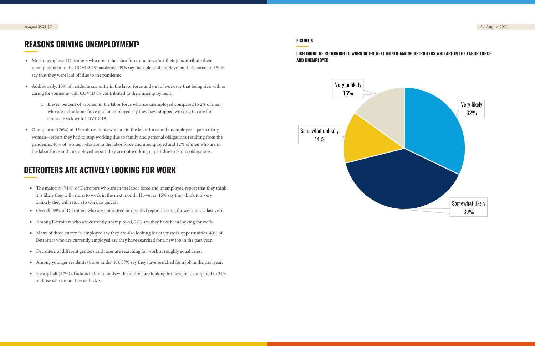- Most unemployed Detroiters who are in the labor force and have lost their jobs attribute their unemployment to the COVID-19 pandemic: 49% say their place of employment has closed and 50% say that they were laid off due to the pandemic.
- Additionally, 10% of residents currently in the labor force and out of work say that being sick with or caring for someone with COVID-19 contributed to their unemployment.
	- o Eleven percent of women in the labor force who are unemployed compared to 2% of men who are in the labor force and unemployed say they have stopped working to care for someone sick with COVID-19.
- One-quarter (26%) of Detroit residents who are in the labor force and unemployed—particularly women—report they had to stop working due to family and personal obligations resulting from the pandemic; 40% of women who are in the labor force and unemployed and 12% of men who are in the labor force and unemployed report they are not working in part due to family obligations.

# **REASONS DRIVING UNEMPLOYMENT<sup>5</sup>**

## **FIGURE 6**

## **[LIKELIHOOD OF RETURNING](https://detroitsurvey.umich.edu/wp-content/uploads/2021/08/DMACS-Detroiters-Support-for-COVID-19-Vaccine-Requirements.pdf) TO WORK IN THE NEXT MONTH AMONG DETROITERS WHO ARE IN THE LABOR FORCE AND UNEMPLOYED**



# **DETROITERS ARE ACTIVELY LOOKING FOR WORK**

- The majority (71%) of Detroiters who are in the labor force and unemployed report that they think it is likely they will return to work in the next month. However, 15% say they think it is very unlikely they will return to work so quickly.
- Overall, 39% of Detroiters who are not retired or disabled report looking for work in the last year.
- Among Detroiters who are currently unemployed, 77% say they have been looking for work.
- Many of those currently employed say they are also looking for other work opportunities; 40% of Detroiters who are currently employed say they have searched for a new job in the past year.
- Detroiters of different genders and races are searching for work at roughly equal rates.
- Among younger residents (those under 40), 57% say they have searched for a job in the past year.
- Nearly half (47%) of adults in households with children are looking for new jobs, compared to 34% of those who do not live with kids.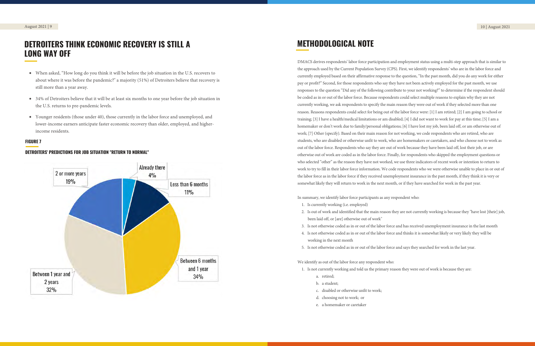- When asked, "How long do you think it will be before the job situation in the U.S. recovers to about where it was before the pandemic?" a majority (51%) of Detroiters believe that recovery is still more than a year away.
- 34% of Detroiters believe that it will be at least six months to one year before the job situation in the U.S. returns to pre-pandemic levels.
- Younger residents (those under 40), those currently in the labor force and unemployed, and lower-income earners anticipate faster economic recovery than older, employed, and higherincome residents.

# **DETROITERS THINK ECONOMIC RECOVERY IS STILL A LONG WAY OFF**

## **FIGURE 7**

## **DETROITERS' PREDICTIONS FOR JOB SITUATION "RETURN TO NORMAL"**



# **METHODOLOGICAL NOTE**

DMACS derives respondents' labor force participation and employment status using a multi-step approach that is similar to t[he approach used by the Current Po](https://detroitsurvey.umich.edu/wp-content/uploads/2021/04/Wave-12-Toplines-4-22-21.pdf)pulation Survey (CPS). First, we identify respondents' who are in the labor force and currently employed based on their affirmative response to the question, "In the past month, did you do any work for either pay or profit?" Second, for those respondents who say they have not been actively employed for the past month, we use responses to the question "Did any of the following contribute to your not working?" to determine if the respondent should be coded as in or out of the labor force. Because respondents could select multiple reasons to explain why they are not currently working, we ask respondents to specify the main reason they were out of work if they selected more than one reason. Reasons respondents could select for being out of the labor force were: [1] I am retired; [2] I am going to school or training; [3] I have a health/medical limitations or am disabled; [4] I did not want to work for pay at this time; [5] I am a homemaker or don't work due to family/personal obligations; [6] I have lost my job, been laid off, or am otherwise out of work; [7] Other (specify). Based on their main reason for not working, we code respondents who are retired, who are students, who are disabled or otherwise unfit to work, who are homemakers or caretakers, and who choose not to work as out of the labor force. Respondents who say they are out of work because they have been laid off, lost their job, or are otherwise out of work are coded as in the labor force. Finally, for respondents who skipped the employment questions or who selected "other" as the reason they have not worked, we use three indicators of recent work or intention to return to work to try to fill in their labor force information. We code respondents who we were otherwise unable to place in or out of the labor force as in the labor force if they received unemployment insurance in the past month, if they think it is very or somewhat likely they will return to work in the next month, or if they have searched for work in the past year.

In summary, we identify labor force participants as any respondent who:

2. Is out of work and identified that the main reason they are not currently working is because they "have lost [their] job,

- 1. Is currently working (i.e. employed)
- been laid off, or [are] otherwise out of work"
- 
- working in the next month
- 5. Is not otherwise coded as in or out of the labor force and says they searched for work in the last year.

3. Is not otherwise coded as in or out of the labor force and has received unemployment insurance in the last month 4. Is not otherwise coded as in or out of the labor force and thinks it is somewhat likely or very likely they will be

We identify as out of the labor force any respondent who:

- 1. Is not currently working and told us the primary reason they were out of work is because they are:
	- a. retired;
	- b. a student;
	- c. disabled or otherwise unfit to work;
	- d. choosing not to work; or
	- e. a homemaker or caretaker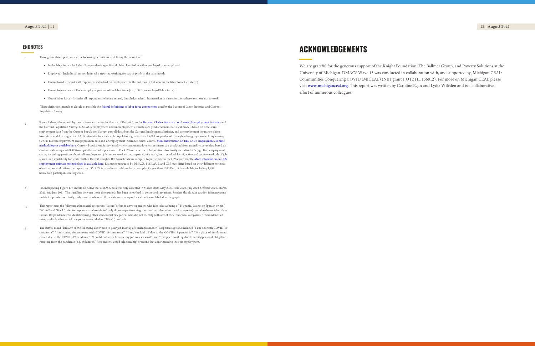We are grateful for the generous support of the Knight Foundation, The Ballmer Group, and Poverty Solutions at the University of Michigan. DMACS Wave 13 was conducted in collaboration with, and supported by, Michigan CEAL: Communities Conquering COVID (MICEAL) (NIH grant 1 OT2 HL 156812). For more on Michigan CEAL please visit [www.michiganceal.org.](https://www.michiganceal.org/) This report was written by Caroline Egan and Lydia Wileden and is a collaborative effort of numerous colleagues.

# **ACKNOWLEDGEMENTS**

August 2021 | 11 12 | August 2021

1 Throughout this report, we use the following definitions in defining the labor force:

- In the labor force Includes all respondents ages 18 and older classified as either employed or unemployed.
- Employed Includes all respondents who reported working for pay or profit in the past month.
- Unemployed Includes all respondents who had no employment in the last month but were in the labor force (see above).
- Unemployment rate The unemployed percent of the labor force [i.e., 100 \* (unemployed/labor force)].
- Out of labor force Includes all respondents who are retired, disabled, students, homemaker or caretakers, or otherwise chose not to work.

 These definitions match as closely as possible the federal definitions of [labor force components](https://www.bls.gov/lau/laufaq.htm#Q11) used by the Bureau of Labor Statistics and Current Population Survey.

- $\overline{2}$ Figure 1 shows the month by month trend estimates for the city of Detroit from the Bureau of Labor Statistics Local [Area Unemployment Statistics an](https://www.bls.gov/lau/data.htm)d the Current Population Survey. BLS LAUS employment and unemployment estimates are produced from statistical models based on time-series employment data from the Current Population Survey, payroll data from the Current Employment Statistics, and unemployment insurance claims from state workforce agencies. LAUS estimates for cities with populations greater than 25,000 are produced through a disaggregation technique using Census Bureau employment and population data and unemployment insurance claims counts. More [information on BLS LAUS employment estimate](https://www.bls.gov/lau/laumthd.htm)  [methodology](https://www.bls.gov/lau/laumthd.htm) is available here. Current Population Survey employment and unemployment estimates are produced from monthly survey data based on a nationwide sample of 60,000 occupied households per month. The CPS uses a series of 16 questions to classify an individual's (age 16+) employment status; including questions about self-employment, job tenure, work status, unpaid family work, hours worked, layoff, active and passive methods of job search, and availability for work. Within Detroit, roughly 100 households are sampled to participate in the CPS every month. [More information on](https://www.census.gov/programs-surveys/cps/technical-documentation/methodology.html) CPS [employment estimate methodology](https://www.census.gov/programs-surveys/cps/technical-documentation/methodology.html) is available here. Estimates produced by DMACS, BLS LAUS, and CPS may differ based on their different methods of estimation and different sample sizes. DMACS is based on an address-based sample of more than 1000 Detroit households, including 1,898 household participants in July 2021.
- 3 In interpreting Figure 1, it should be noted that DMACS data was only collected in March 2020, May 2020, June 2020, July 2020, October 2020, March 2021, and July 2021. The trendline between those time periods has been smoothed to connect observations. Readers should take caution in interpreting unlabeled points. For clarity, only months where all three data sources reported estimates are labeled in the graph.
- 4 This report uses the following ethnoracial categories: "Latino" refers to any respondent who identifies as being of "Hispanic, Latino, or Spanish origin." "White" and "Black" refer to respondents who selected only those respective categories (and no other ethnoracial categories) and who do not identify as Latino. Respondents who identified using other ethnoracial categories, who did not identify with any of the ethnoracial categories, or who identified using multiple ethnoracial categories were coded as "Other" (omitted).
- The survey asked "Did any of the following contribute to your job loss/lay off/unemployment?" Responses options included "I am sick with COVID-19 symptoms"; "I am caring for someone with COVID-19 symptoms"; "I am/was laid off due to the COVID-19 pandemic"; "My place of employment closed due to the COVID-19 pandemic"; "I could not work because my job was seasonal"; and "I stopped working due to family/personal obligations resulting from the pandemic (e.g. childcare)." Respondents could select multiple reasons that contributed to their unemployment. 5

## **ENDNOTES**